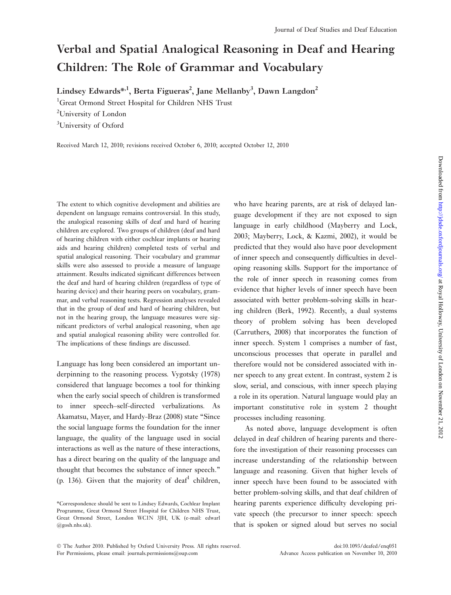# Verbal and Spatial Analogical Reasoning in Deaf and Hearing Children: The Role of Grammar and Vocabulary

Lindsey Edwards $^{\ast,1}$ , Berta Figueras $^2$ , Jane Mellanby $^3$ , Dawn Langdon $^2$ 

<sup>1</sup>Great Ormond Street Hospital for Children NHS Trust

<sup>2</sup>University of London

<sup>3</sup>University of Oxford

Received March 12, 2010; revisions received October 6, 2010; accepted October 12, 2010

The extent to which cognitive development and abilities are dependent on language remains controversial. In this study, the analogical reasoning skills of deaf and hard of hearing children are explored. Two groups of children (deaf and hard of hearing children with either cochlear implants or hearing aids and hearing children) completed tests of verbal and spatial analogical reasoning. Their vocabulary and grammar skills were also assessed to provide a measure of language attainment. Results indicated significant differences between the deaf and hard of hearing children (regardless of type of hearing device) and their hearing peers on vocabulary, grammar, and verbal reasoning tests. Regression analyses revealed that in the group of deaf and hard of hearing children, but not in the hearing group, the language measures were significant predictors of verbal analogical reasoning, when age and spatial analogical reasoning ability were controlled for. The implications of these findings are discussed.

Language has long been considered an important underpinning to the reasoning process. Vygotsky (1978) considered that language becomes a tool for thinking when the early social speech of children is transformed to inner speech–self-directed verbalizations. As Akamatsu, Mayer, and Hardy-Braz (2008) state ''Since the social language forms the foundation for the inner language, the quality of the language used in social interactions as well as the nature of these interactions, has a direct bearing on the quality of the language and thought that becomes the substance of inner speech.'' (p. 136). Given that the majority of deaf<sup>1</sup> children,

who have hearing parents, are at risk of delayed language development if they are not exposed to sign language in early childhood (Mayberry and Lock, 2003; Mayberry, Lock, & Kazmi, 2002), it would be predicted that they would also have poor development of inner speech and consequently difficulties in developing reasoning skills. Support for the importance of the role of inner speech in reasoning comes from evidence that higher levels of inner speech have been associated with better problem-solving skills in hearing children (Berk, 1992). Recently, a dual systems theory of problem solving has been developed (Carruthers, 2008) that incorporates the function of inner speech. System 1 comprises a number of fast, unconscious processes that operate in parallel and therefore would not be considered associated with inner speech to any great extent. In contrast, system 2 is slow, serial, and conscious, with inner speech playing a role in its operation. Natural language would play an important constitutive role in system 2 thought processes including reasoning.

As noted above, language development is often delayed in deaf children of hearing parents and therefore the investigation of their reasoning processes can increase understanding of the relationship between language and reasoning. Given that higher levels of inner speech have been found to be associated with better problem-solving skills, and that deaf children of hearing parents experience difficulty developing private speech (the precursor to inner speech: speech that is spoken or signed aloud but serves no social

<sup>\*</sup>Correspondence should be sent to Lindsey Edwards, Cochlear Implant Programme, Great Ormond Street Hospital for Children NHS Trust, Great Ormond Street, London WC1N 3JH, UK (e-mail: edwarl @gosh.nhs.uk).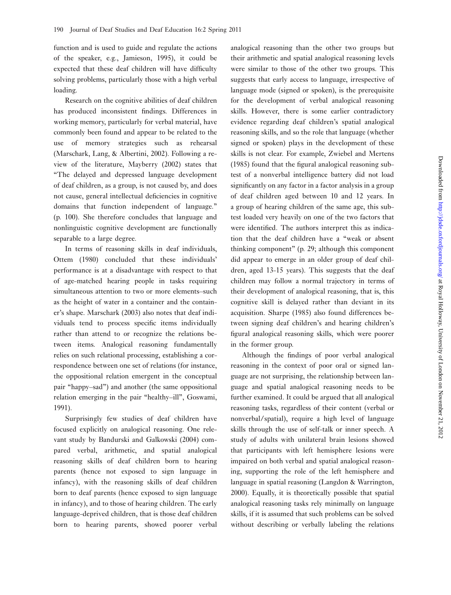function and is used to guide and regulate the actions of the speaker, e.g., Jamieson, 1995), it could be expected that these deaf children will have difficulty solving problems, particularly those with a high verbal loading.

Research on the cognitive abilities of deaf children has produced inconsistent findings. Differences in working memory, particularly for verbal material, have commonly been found and appear to be related to the use of memory strategies such as rehearsal (Marschark, Lang, & Albertini, 2002). Following a review of the literature, Mayberry (2002) states that ''The delayed and depressed language development of deaf children, as a group, is not caused by, and does not cause, general intellectual deficiencies in cognitive domains that function independent of language.'' (p. 100). She therefore concludes that language and nonlinguistic cognitive development are functionally separable to a large degree.

In terms of reasoning skills in deaf individuals, Ottem (1980) concluded that these individuals' performance is at a disadvantage with respect to that of age-matched hearing people in tasks requiring simultaneous attention to two or more elements–such as the height of water in a container and the container's shape. Marschark (2003) also notes that deaf individuals tend to process specific items individually rather than attend to or recognize the relations between items. Analogical reasoning fundamentally relies on such relational processing, establishing a correspondence between one set of relations (for instance, the oppositional relation emergent in the conceptual pair ''happy–sad'') and another (the same oppositional relation emerging in the pair ''healthy–ill'', Goswami, 1991).

Surprisingly few studies of deaf children have focused explicitly on analogical reasoning. One relevant study by Bandurski and Galkowski (2004) compared verbal, arithmetic, and spatial analogical reasoning skills of deaf children born to hearing parents (hence not exposed to sign language in infancy), with the reasoning skills of deaf children born to deaf parents (hence exposed to sign language in infancy), and to those of hearing children. The early language-deprived children, that is those deaf children born to hearing parents, showed poorer verbal analogical reasoning than the other two groups but their arithmetic and spatial analogical reasoning levels were similar to those of the other two groups. This suggests that early access to language, irrespective of language mode (signed or spoken), is the prerequisite for the development of verbal analogical reasoning skills. However, there is some earlier contradictory evidence regarding deaf children's spatial analogical reasoning skills, and so the role that language (whether signed or spoken) plays in the development of these skills is not clear. For example, Zwiebel and Mertens (1985) found that the figural analogical reasoning subtest of a nonverbal intelligence battery did not load significantly on any factor in a factor analysis in a group of deaf children aged between 10 and 12 years. In a group of hearing children of the same age, this subtest loaded very heavily on one of the two factors that were identified. The authors interpret this as indication that the deaf children have a ''weak or absent thinking component'' (p. 29; although this component did appear to emerge in an older group of deaf children, aged 13-15 years). This suggests that the deaf children may follow a normal trajectory in terms of their development of analogical reasoning, that is, this cognitive skill is delayed rather than deviant in its acquisition. Sharpe (1985) also found differences between signing deaf children's and hearing children's figural analogical reasoning skills, which were poorer in the former group.

Although the findings of poor verbal analogical reasoning in the context of poor oral or signed language are not surprising, the relationship between language and spatial analogical reasoning needs to be further examined. It could be argued that all analogical reasoning tasks, regardless of their content (verbal or nonverbal/spatial), require a high level of language skills through the use of self-talk or inner speech. A study of adults with unilateral brain lesions showed that participants with left hemisphere lesions were impaired on both verbal and spatial analogical reasoning, supporting the role of the left hemisphere and language in spatial reasoning (Langdon & Warrington, 2000). Equally, it is theoretically possible that spatial analogical reasoning tasks rely minimally on language skills, if it is assumed that such problems can be solved without describing or verbally labeling the relations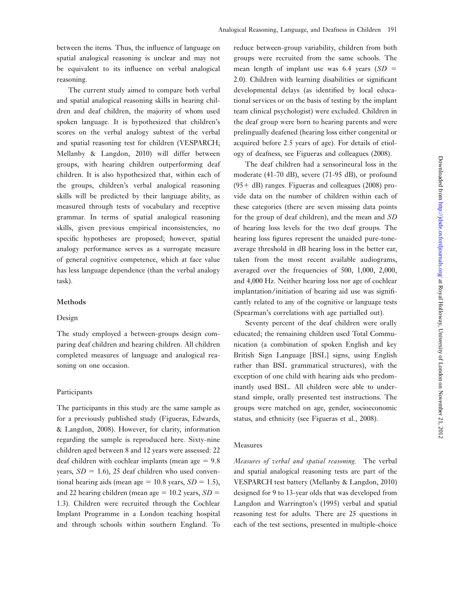between the items. Thus, the influence of language on spatial analogical reasoning is unclear and may not be equivalent to its influence on verbal analogical reasoning.

The current study aimed to compare both verbal and spatial analogical reasoning skills in hearing children and deaf children, the majority of whom used spoken language. It is hypothesized that children's scores on the verbal analogy subtest of the verbal and spatial reasoning test for children (VESPARCH; Mellanby & Langdon, 2010) will differ between groups, with hearing children outperforming deaf children. It is also hypothesized that, within each of the groups, children's verbal analogical reasoning skills will be predicted by their language ability, as measured through tests of vocabulary and receptive grammar. In terms of spatial analogical reasoning skills, given previous empirical inconsistencies, no specific hypotheses are proposed; however, spatial analogy performance serves as a surrogate measure of general cognitive competence, which at face value has less language dependence (than the verbal analogy task).

## Methods

# Design

The study employed a between-groups design comparing deaf children and hearing children. All children completed measures of language and analogical reasoning on one occasion.

# Participants

The participants in this study are the same sample as for a previously published study (Figueras, Edwards, & Langdon, 2008). However, for clarity, information regarding the sample is reproduced here. Sixty-nine children aged between 8 and 12 years were assessed: 22 deaf children with cochlear implants (mean age  $= 9.8$ years,  $SD = 1.6$ ), 25 deaf children who used conventional hearing aids (mean age =  $10.8$  years,  $SD = 1.5$ ), and 22 hearing children (mean age  $= 10.2$  years,  $SD =$ 1.3). Children were recruited through the Cochlear Implant Programme in a London teaching hospital and through schools within southern England. To

reduce between-group variability, children from both groups were recruited from the same schools. The mean length of implant use was  $6.4$  years  $(SD =$ 2.0). Children with learning disabilities or significant developmental delays (as identified by local educational services or on the basis of testing by the implant team clinical psychologist) were excluded. Children in the deaf group were born to hearing parents and were prelingually deafened (hearing loss either congenital or acquired before 2.5 years of age). For details of etiology of deafness, see Figueras and colleagues (2008).

The deaf children had a sensorineural loss in the moderate (41-70 dB), severe (71-95 dB), or profound  $(95 + dB)$  ranges. Figueras and colleagues (2008) provide data on the number of children within each of these categories (there are seven missing data points for the group of deaf children), and the mean and SD of hearing loss levels for the two deaf groups. The hearing loss figures represent the unaided pure-toneaverage threshold in dB hearing loss in the better ear, taken from the most recent available audiograms, averaged over the frequencies of 500, 1,000, 2,000, and 4,000 Hz. Neither hearing loss nor age of cochlear implantation/initiation of hearing aid use was significantly related to any of the cognitive or language tests (Spearman's correlations with age partialled out).

Seventy percent of the deaf children were orally educated; the remaining children used Total Communication (a combination of spoken English and key British Sign Language [BSL] signs, using English rather than BSL grammatical structures), with the exception of one child with hearing aids who predominantly used BSL. All children were able to understand simple, orally presented test instructions. The groups were matched on age, gender, socioeconomic status, and ethnicity (see Figueras et al., 2008).

#### Measures

Measures of verbal and spatial reasoning. The verbal and spatial analogical reasoning tests are part of the VESPARCH test battery (Mellanby & Langdon, 2010) designed for 9 to 13-year olds that was developed from Langdon and Warrington's (1995) verbal and spatial reasoning test for adults. There are 25 questions in each of the test sections, presented in multiple-choice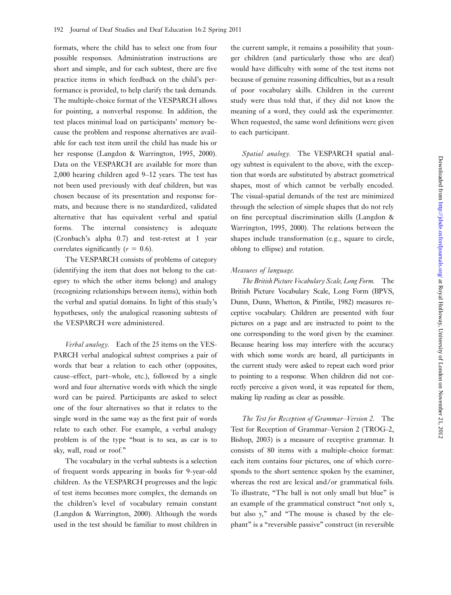formats, where the child has to select one from four possible responses. Administration instructions are short and simple, and for each subtest, there are five practice items in which feedback on the child's performance is provided, to help clarify the task demands. The multiple-choice format of the VESPARCH allows for pointing, a nonverbal response. In addition, the test places minimal load on participants' memory because the problem and response alternatives are available for each test item until the child has made his or her response (Langdon & Warrington, 1995, 2000). Data on the VESPARCH are available for more than 2,000 hearing children aged 9–12 years. The test has not been used previously with deaf children, but was chosen because of its presentation and response formats, and because there is no standardized, validated alternative that has equivalent verbal and spatial forms. The internal consistency is adequate (Cronbach's alpha 0.7) and test-retest at 1 year correlates significantly  $(r = 0.6)$ .

The VESPARCH consists of problems of category (identifying the item that does not belong to the category to which the other items belong) and analogy (recognizing relationships between items), within both the verbal and spatial domains. In light of this study's hypotheses, only the analogical reasoning subtests of the VESPARCH were administered.

Verbal analogy. Each of the 25 items on the VES-PARCH verbal analogical subtest comprises a pair of words that bear a relation to each other (opposites, cause–effect, part–whole, etc.), followed by a single word and four alternative words with which the single word can be paired. Participants are asked to select one of the four alternatives so that it relates to the single word in the same way as the first pair of words relate to each other. For example, a verbal analogy problem is of the type ''boat is to sea, as car is to sky, wall, road or roof.''

The vocabulary in the verbal subtests is a selection of frequent words appearing in books for 9-year-old children. As the VESPARCH progresses and the logic of test items becomes more complex, the demands on the children's level of vocabulary remain constant (Langdon & Warrington, 2000). Although the words used in the test should be familiar to most children in the current sample, it remains a possibility that younger children (and particularly those who are deaf) would have difficulty with some of the test items not because of genuine reasoning difficulties, but as a result of poor vocabulary skills. Children in the current study were thus told that, if they did not know the meaning of a word, they could ask the experimenter. When requested, the same word definitions were given to each participant.

Spatial analogy. The VESPARCH spatial analogy subtest is equivalent to the above, with the exception that words are substituted by abstract geometrical shapes, most of which cannot be verbally encoded. The visual-spatial demands of the test are minimized through the selection of simple shapes that do not rely on fine perceptual discrimination skills (Langdon & Warrington, 1995, 2000). The relations between the shapes include transformation (e.g., square to circle, oblong to ellipse) and rotation.

# Measures of language.

The British Picture Vocabulary Scale, Long Form. The British Picture Vocabulary Scale, Long Form (BPVS, Dunn, Dunn, Whetton, & Pintilie, 1982) measures receptive vocabulary. Children are presented with four pictures on a page and are instructed to point to the one corresponding to the word given by the examiner. Because hearing loss may interfere with the accuracy with which some words are heard, all participants in the current study were asked to repeat each word prior to pointing to a response. When children did not correctly perceive a given word, it was repeated for them, making lip reading as clear as possible.

The Test for Reception of Grammar–Version 2. The Test for Reception of Grammar–Version 2 (TROG-2, Bishop, 2003) is a measure of receptive grammar. It consists of 80 items with a multiple-choice format: each item contains four pictures, one of which corresponds to the short sentence spoken by the examiner, whereas the rest are lexical and/or grammatical foils. To illustrate, "The ball is not only small but blue" is an example of the grammatical construct "not only x, but also y," and "The mouse is chased by the elephant" is a "reversible passive" construct (in reversible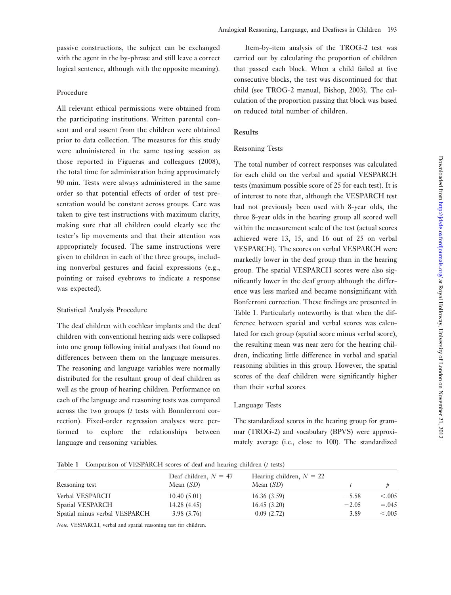passive constructions, the subject can be exchanged with the agent in the by-phrase and still leave a correct logical sentence, although with the opposite meaning).

# Procedure

All relevant ethical permissions were obtained from the participating institutions. Written parental consent and oral assent from the children were obtained prior to data collection. The measures for this study were administered in the same testing session as those reported in Figueras and colleagues (2008), the total time for administration being approximately 90 min. Tests were always administered in the same order so that potential effects of order of test presentation would be constant across groups. Care was taken to give test instructions with maximum clarity, making sure that all children could clearly see the tester's lip movements and that their attention was appropriately focused. The same instructions were given to children in each of the three groups, including nonverbal gestures and facial expressions (e.g., pointing or raised eyebrows to indicate a response was expected).

# Statistical Analysis Procedure

The deaf children with cochlear implants and the deaf children with conventional hearing aids were collapsed into one group following initial analyses that found no differences between them on the language measures. The reasoning and language variables were normally distributed for the resultant group of deaf children as well as the group of hearing children. Performance on each of the language and reasoning tests was compared across the two groups (t tests with Bonnferroni correction). Fixed-order regression analyses were performed to explore the relationships between language and reasoning variables.

Item-by-item analysis of the TROG-2 test was carried out by calculating the proportion of children that passed each block. When a child failed at five consecutive blocks, the test was discontinued for that child (see TROG-2 manual, Bishop, 2003). The calculation of the proportion passing that block was based on reduced total number of children.

# Results

### Reasoning Tests

The total number of correct responses was calculated for each child on the verbal and spatial VESPARCH tests (maximum possible score of 25 for each test). It is of interest to note that, although the VESPARCH test had not previously been used with 8-year olds, the three 8-year olds in the hearing group all scored well within the measurement scale of the test (actual scores achieved were 13, 15, and 16 out of 25 on verbal VESPARCH). The scores on verbal VESPARCH were markedly lower in the deaf group than in the hearing group. The spatial VESPARCH scores were also significantly lower in the deaf group although the difference was less marked and became nonsignificant with Bonferroni correction. These findings are presented in Table 1. Particularly noteworthy is that when the difference between spatial and verbal scores was calculated for each group (spatial score minus verbal score), the resulting mean was near zero for the hearing children, indicating little difference in verbal and spatial reasoning abilities in this group. However, the spatial scores of the deaf children were significantly higher than their verbal scores.

# Language Tests

The standardized scores in the hearing group for grammar (TROG-2) and vocabulary (BPVS) were approximately average (i.e., close to 100). The standardized

Table 1 Comparison of VESPARCH scores of deaf and hearing children (t tests)

| Deaf children, $N = 47$<br>Mean $(SD)$ | Hearing children, $N = 22$<br>Mean $(SD)$ |         |           |
|----------------------------------------|-------------------------------------------|---------|-----------|
| 10.40(5.01)                            | 16.36(3.59)                               | $-5.58$ | < 0.005   |
| 14.28(4.45)                            | 16.45(3.20)                               | $-2.05$ | $=.045$   |
| 3.98(3.76)                             | 0.09(2.72)                                | 3.89    | ${<}.005$ |
|                                        |                                           |         |           |

Note. VESPARCH, verbal and spatial reasoning test for children.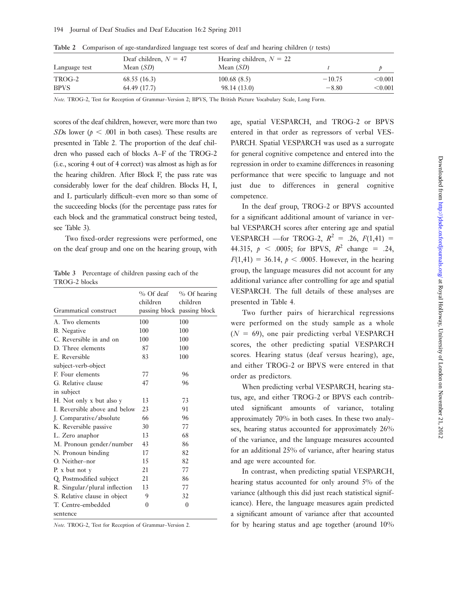| Language test | Deaf children, $N = 47$<br>Mean $(SD)$ | Hearing children, $N = 22$<br>Mean $(SD)$ |          |         |
|---------------|----------------------------------------|-------------------------------------------|----------|---------|
| TROG-2        | 68.55(16.3)                            | 100.68(8.5)                               | $-10.75$ | < 0.001 |
| <b>BPVS</b>   | 64.49(17.7)                            | 98.14 (13.0)                              | $-8.80$  | < 0.001 |

Table 2 Comparison of age-standardized language test scores of deaf and hearing children (t tests)

Note. TROG-2, Test for Reception of Grammar–Version 2; BPVS, The British Picture Vocabulary Scale, Long Form.

scores of the deaf children, however, were more than two SDs lower ( $p < .001$  in both cases). These results are presented in Table 2. The proportion of the deaf children who passed each of blocks A–F of the TROG-2 (i.e., scoring 4 out of 4 correct) was almost as high as for the hearing children. After Block F, the pass rate was considerably lower for the deaf children. Blocks H, I, and L particularly difficult–even more so than some of the succeeding blocks (for the percentage pass rates for each block and the grammatical construct being tested, see Table 3).

Two fixed-order regressions were performed, one on the deaf group and one on the hearing group, with

Table 3 Percentage of children passing each of the TROG-2 blocks

|                               | % Of deaf | % Of hearing                |
|-------------------------------|-----------|-----------------------------|
|                               | children  | children                    |
| Grammatical construct         |           | passing block passing block |
| A. Two elements               | 100       | 100                         |
| <b>B.</b> Negative            | 100       | 100                         |
| C. Reversible in and on       | 100       | 100                         |
| D. Three elements             | 87        | 100                         |
| E. Reversible                 | 83        | 100                         |
| subject-verb-object           |           |                             |
| F. Four elements              | 77        | 96                          |
| G. Relative clause            | 47        | 96                          |
| in subject                    |           |                             |
| H. Not only x but also y      | 13        | 73                          |
| I. Reversible above and below | 23        | 91                          |
| J. Comparative/absolute       | 66        | 96                          |
| K. Reversible passive         | 30        | 77                          |
| L. Zero anaphor               | 13        | 68                          |
| M. Pronoun gender/number      | 43        | 86                          |
| N. Pronoun binding            | 17        | 82                          |
| O. Neither-nor                | 15        | 82                          |
| P. x but not y                | 21        | 77                          |
| Q. Postmodified subject       | 21        | 86                          |
| R. Singular/plural inflection | 13        | 77                          |
| S. Relative clause in object  | 9         | 32                          |
| T. Centre-embedded            | $\theta$  | $\theta$                    |
| sentence                      |           |                             |

Note. TROG-2, Test for Reception of Grammar–Version 2.

age, spatial VESPARCH, and TROG-2 or BPVS entered in that order as regressors of verbal VES-PARCH. Spatial VESPARCH was used as a surrogate for general cognitive competence and entered into the regression in order to examine differences in reasoning performance that were specific to language and not just due to differences in general cognitive competence.

In the deaf group, TROG-2 or BPVS accounted for a significant additional amount of variance in verbal VESPARCH scores after entering age and spatial VESPARCH —for TROG-2,  $R^2 = .26$ ,  $F(1,41) =$ 44.315,  $p \le 0.0005$ ; for BPVS,  $R^2$  change = .24,  $F(1,41) = 36.14, p < .0005$ . However, in the hearing group, the language measures did not account for any additional variance after controlling for age and spatial VESPARCH. The full details of these analyses are presented in Table 4.

Two further pairs of hierarchical regressions were performed on the study sample as a whole  $(N = 69)$ , one pair predicting verbal VESPARCH scores, the other predicting spatial VESPARCH scores. Hearing status (deaf versus hearing), age, and either TROG-2 or BPVS were entered in that order as predictors.

When predicting verbal VESPARCH, hearing status, age, and either TROG-2 or BPVS each contributed significant amounts of variance, totaling approximately 70% in both cases. In these two analyses, hearing status accounted for approximately 26% of the variance, and the language measures accounted for an additional 25% of variance, after hearing status and age were accounted for.

In contrast, when predicting spatial VESPARCH, hearing status accounted for only around 5% of the variance (although this did just reach statistical significance). Here, the language measures again predicted a significant amount of variance after that accounted for by hearing status and age together (around 10%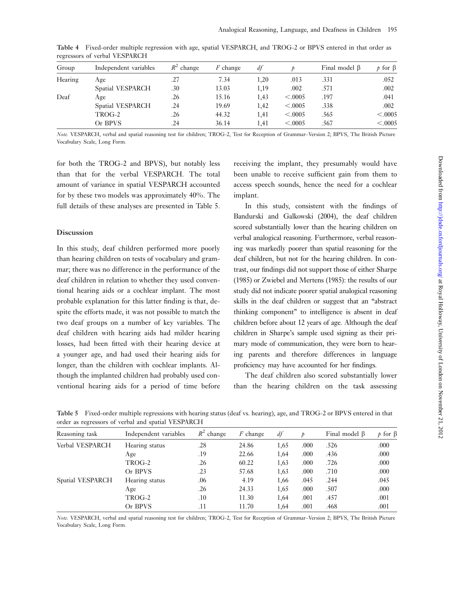| Group   | Independent variables | $R^2$ change | $F$ change | df   |          | Final model $\beta$ | $p$ for $\beta$ |
|---------|-----------------------|--------------|------------|------|----------|---------------------|-----------------|
| Hearing | Age                   | .27          | 7.34       | 1,20 | .013     | .331                | .052            |
|         | Spatial VESPARCH      | .30          | 13.03      | 1,19 | .002     | .571                | .002            |
| Deaf    | Age                   | .26          | 15.16      | 1,43 | < 0.0005 | .197                | .041            |
|         | Spatial VESPARCH      | .24          | 19.69      | 1,42 | < 0.0005 | .338                | .002            |
|         | TROG-2                | .26          | 44.32      | 1,41 | < 0.0005 | .565                | < 0.0005        |
|         | Or BPVS               | .24          | 36.14      | 1,41 | < 0.0005 | .567                | < 0.0005        |

Table 4 Fixed-order multiple regression with age, spatial VESPARCH, and TROG-2 or BPVS entered in that order as regressors of verbal VESPARCH

Note. VESPARCH, verbal and spatial reasoning test for children; TROG-2, Test for Reception of Grammar–Version 2; BPVS, The British Picture Vocabulary Scale, Long Form.

for both the TROG-2 and BPVS), but notably less than that for the verbal VESPARCH. The total amount of variance in spatial VESPARCH accounted for by these two models was approximately 40%. The full details of these analyses are presented in Table 5.

# Discussion

In this study, deaf children performed more poorly than hearing children on tests of vocabulary and grammar; there was no difference in the performance of the deaf children in relation to whether they used conventional hearing aids or a cochlear implant. The most probable explanation for this latter finding is that, despite the efforts made, it was not possible to match the two deaf groups on a number of key variables. The deaf children with hearing aids had milder hearing losses, had been fitted with their hearing device at a younger age, and had used their hearing aids for longer, than the children with cochlear implants. Although the implanted children had probably used conventional hearing aids for a period of time before

receiving the implant, they presumably would have been unable to receive sufficient gain from them to access speech sounds, hence the need for a cochlear implant.

In this study, consistent with the findings of Bandurski and Galkowski (2004), the deaf children scored substantially lower than the hearing children on verbal analogical reasoning. Furthermore, verbal reasoning was markedly poorer than spatial reasoning for the deaf children, but not for the hearing children. In contrast, our findings did not support those of either Sharpe (1985) or Zwiebel and Mertens (1985): the results of our study did not indicate poorer spatial analogical reasoning skills in the deaf children or suggest that an ''abstract thinking component'' to intelligence is absent in deaf children before about 12 years of age. Although the deaf children in Sharpe's sample used signing as their primary mode of communication, they were born to hearing parents and therefore differences in language proficiency may have accounted for her findings.

The deaf children also scored substantially lower than the hearing children on the task assessing

| Reasoning task   | Independent variables | $R^2$ change | $F$ change | df   | p    | Final model $\beta$ | $\rho$ for $\beta$ |
|------------------|-----------------------|--------------|------------|------|------|---------------------|--------------------|
| Verbal VESPARCH  | Hearing status        | .28          | 24.86      | 1,65 | .000 | .526                | .000.              |
|                  | Age                   | .19          | 22.66      | 1,64 | .000 | .436                | .000.              |
|                  | TROG-2                | .26          | 60.22      | 1,63 | .000 | .726                | .000.              |
|                  | Or BPVS               | .23          | 57.68      | 1,63 | .000 | .710                | .000.              |
| Spatial VESPARCH | Hearing status        | .06          | 4.19       | 1,66 | .045 | .244                | .045               |
|                  | Age                   | .26          | 24.33      | 1,65 | .000 | .507                | .000.              |
|                  | TROG-2                | .10          | 11.30      | 1,64 | .001 | .457                | .001               |
|                  | Or BPVS               | .11          | 11.70      | 1,64 | .001 | .468                | .001               |
|                  |                       |              |            |      |      |                     |                    |

Table 5 Fixed-order multiple regressions with hearing status (deaf vs. hearing), age, and TROG-2 or BPVS entered in that order as regressors of verbal and spatial VESPARCH

Note. VESPARCH, verbal and spatial reasoning test for children; TROG-2, Test for Reception of Grammar–Version 2; BPVS, The British Picture Vocabulary Scale, Long Form.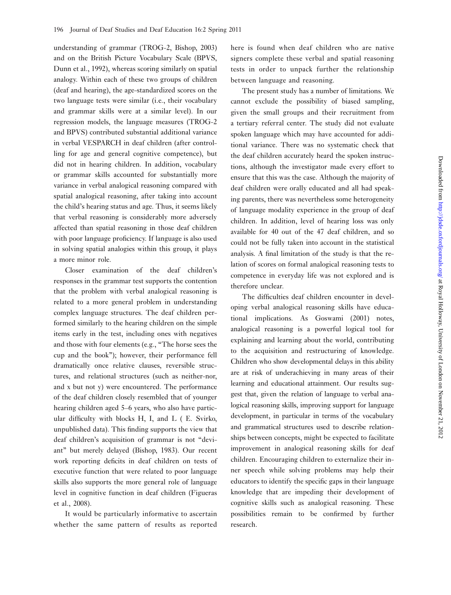understanding of grammar (TROG-2, Bishop, 2003) and on the British Picture Vocabulary Scale (BPVS, Dunn et al., 1992), whereas scoring similarly on spatial analogy. Within each of these two groups of children (deaf and hearing), the age-standardized scores on the two language tests were similar (i.e., their vocabulary and grammar skills were at a similar level). In our regression models, the language measures (TROG-2 and BPVS) contributed substantial additional variance in verbal VESPARCH in deaf children (after controlling for age and general cognitive competence), but did not in hearing children. In addition, vocabulary or grammar skills accounted for substantially more variance in verbal analogical reasoning compared with spatial analogical reasoning, after taking into account the child's hearing status and age. Thus, it seems likely that verbal reasoning is considerably more adversely affected than spatial reasoning in those deaf children with poor language proficiency. If language is also used in solving spatial analogies within this group, it plays a more minor role.

Closer examination of the deaf children's responses in the grammar test supports the contention that the problem with verbal analogical reasoning is related to a more general problem in understanding complex language structures. The deaf children performed similarly to the hearing children on the simple items early in the test, including ones with negatives and those with four elements (e.g., ''The horse sees the cup and the book''); however, their performance fell dramatically once relative clauses, reversible structures, and relational structures (such as neither-nor, and x but not y) were encountered. The performance of the deaf children closely resembled that of younger hearing children aged 5–6 years, who also have particular difficulty with blocks H, I, and L ( E. Svirko, unpublished data). This finding supports the view that deaf children's acquisition of grammar is not ''deviant'' but merely delayed (Bishop, 1983). Our recent work reporting deficits in deaf children on tests of executive function that were related to poor language skills also supports the more general role of language level in cognitive function in deaf children (Figueras et al., 2008).

It would be particularly informative to ascertain whether the same pattern of results as reported here is found when deaf children who are native signers complete these verbal and spatial reasoning tests in order to unpack further the relationship between language and reasoning.

The present study has a number of limitations. We cannot exclude the possibility of biased sampling, given the small groups and their recruitment from a tertiary referral center. The study did not evaluate spoken language which may have accounted for additional variance. There was no systematic check that the deaf children accurately heard the spoken instructions, although the investigator made every effort to ensure that this was the case. Although the majority of deaf children were orally educated and all had speaking parents, there was nevertheless some heterogeneity of language modality experience in the group of deaf children. In addition, level of hearing loss was only available for 40 out of the 47 deaf children, and so could not be fully taken into account in the statistical analysis. A final limitation of the study is that the relation of scores on formal analogical reasoning tests to competence in everyday life was not explored and is therefore unclear.

The difficulties deaf children encounter in developing verbal analogical reasoning skills have educational implications. As Goswami (2001) notes, analogical reasoning is a powerful logical tool for explaining and learning about the world, contributing to the acquisition and restructuring of knowledge. Children who show developmental delays in this ability are at risk of underachieving in many areas of their learning and educational attainment. Our results suggest that, given the relation of language to verbal analogical reasoning skills, improving support for language development, in particular in terms of the vocabulary and grammatical structures used to describe relationships between concepts, might be expected to facilitate improvement in analogical reasoning skills for deaf children. Encouraging children to externalize their inner speech while solving problems may help their educators to identify the specific gaps in their language knowledge that are impeding their development of cognitive skills such as analogical reasoning. These possibilities remain to be confirmed by further research.